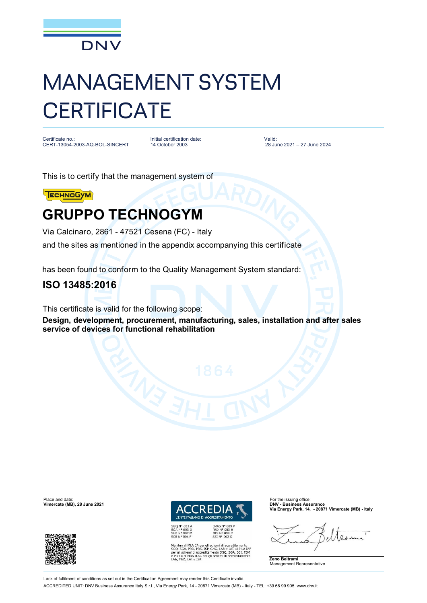

# MANAGEMENT SYSTEM **CERTIFICATE**

Certificate no.: CERT-13054-2003-AQ-BOL-SINCERT Initial certification date: 14 October 2003

Valid: 28 June 2021 – 27 June 2024

This is to certify that the management system of



## **GRUPPO TECHNOGYM**

Via Calcinaro, 2861 - 47521 Cesena (FC) - Italy and the sites as mentioned in the appendix accompanying this certificate

has been found to conform to the Quality Management System standard:

### **ISO 13485:2016**

This certificate is valid for the following scope:

**Design, development, procurement, manufacturing, sales, installation and after sales service of devices for functional rehabilitation**





Membro di MLA EA per gli schemi di accreditamento<br>SGO, SGA, PRD, PRS, ISP, GHG, LAB e LAT, di MLA IAF<br>per gli schemi di accreditamento SGO, SGA, SSI, FSM<br>e PRD e di MRA ILAC per gli schemi di accreditamento<br>LAB, MED, LAT e

**Via Energy Park, 14, - 20871 Vimercate (MB) - Italy**

 $Q_{12}$ 



Place and date: For the issuing office:<br> **Place and date:** For the issuing office:<br> **Place and the interval of the issuing office:** For the issuing office:<br> **Place and the interval of the issuing office: Vimercate (MB), 28 June 2021** 



Lack of fulfilment of conditions as set out in the Certification Agreement may render this Certificate invalid. ACCREDITED UNIT: DNV Business Assurance Italy S.r.l., Via Energy Park, 14 - 20871 Vimercate (MB) - Italy - TEL: +39 68 99 905. [www.dnv.it](http://www.dnv.it)